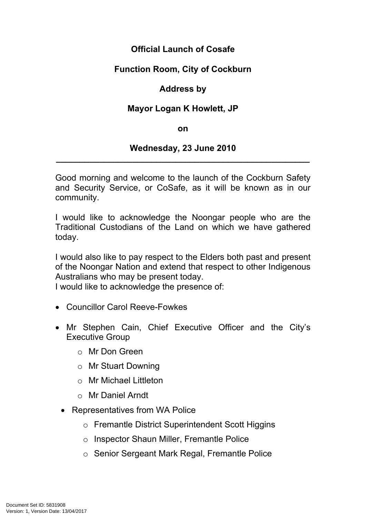# **Official Launch of Cosafe**

# **Function Room, City of Cockburn**

## **Address by**

### **Mayor Logan K Howlett, JP**

#### **on**

#### **Wednesday, 23 June 2010 \_\_\_\_\_\_\_\_\_\_\_\_\_\_\_\_\_\_\_\_\_\_\_\_\_\_\_\_\_\_\_\_\_\_\_\_\_\_\_\_\_\_\_\_\_\_\_\_\_\_\_\_\_**

Good morning and welcome to the launch of the Cockburn Safety and Security Service, or CoSafe, as it will be known as in our community.

I would like to acknowledge the Noongar people who are the Traditional Custodians of the Land on which we have gathered today.

I would also like to pay respect to the Elders both past and present of the Noongar Nation and extend that respect to other Indigenous Australians who may be present today.

I would like to acknowledge the presence of:

- Councillor Carol Reeve-Fowkes
- Mr Stephen Cain, Chief Executive Officer and the City's Executive Group
	- o Mr Don Green
	- o Mr Stuart Downing
	- o Mr Michael Littleton
	- o Mr Daniel Arndt
	- Representatives from WA Police
		- o Fremantle District Superintendent Scott Higgins
		- o Inspector Shaun Miller, Fremantle Police
		- o Senior Sergeant Mark Regal, Fremantle Police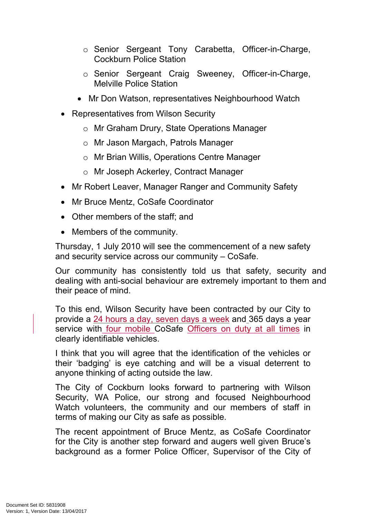- o Senior Sergeant Tony Carabetta, Officer-in-Charge, Cockburn Police Station
- o Senior Sergeant Craig Sweeney, Officer-in-Charge, Melville Police Station
- Mr Don Watson, representatives Neighbourhood Watch
- Representatives from Wilson Security
	- o Mr Graham Drury, State Operations Manager
	- o Mr Jason Margach, Patrols Manager
	- o Mr Brian Willis, Operations Centre Manager
	- o Mr Joseph Ackerley, Contract Manager
- Mr Robert Leaver, Manager Ranger and Community Safety
- Mr Bruce Mentz, CoSafe Coordinator
- Other members of the staff; and
- Members of the community.

Thursday, 1 July 2010 will see the commencement of a new safety and security service across our community – CoSafe.

Our community has consistently told us that safety, security and dealing with anti-social behaviour are extremely important to them and their peace of mind.

To this end, Wilson Security have been contracted by our City to provide a 24 hours a day, seven days a week and 365 days a year service with four mobile CoSafe Officers on duty at all times in clearly identifiable vehicles.

I think that you will agree that the identification of the vehicles or their 'badging' is eye catching and will be a visual deterrent to anyone thinking of acting outside the law.

The City of Cockburn looks forward to partnering with Wilson Security, WA Police, our strong and focused Neighbourhood Watch volunteers, the community and our members of staff in terms of making our City as safe as possible.

The recent appointment of Bruce Mentz, as CoSafe Coordinator for the City is another step forward and augers well given Bruce's background as a former Police Officer, Supervisor of the City of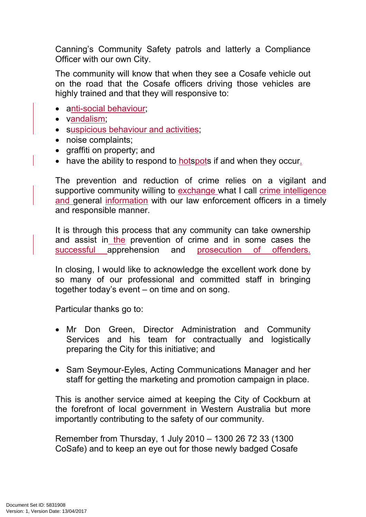Canning's Community Safety patrols and latterly a Compliance Officer with our own City.

The community will know that when they see a Cosafe vehicle out on the road that the Cosafe officers driving those vehicles are highly trained and that they will responsive to:

- anti-social behaviour;
- vandalism:
- suspicious behaviour and activities;
- noise complaints;
- graffiti on property; and
- have the ability to respond to **hotspots** if and when they occur.

The prevention and reduction of crime relies on a vigilant and supportive community willing to exchange what I call crime intelligence and general information with our law enforcement officers in a timely and responsible manner.

It is through this process that any community can take ownership and assist in the prevention of crime and in some cases the successful apprehension and prosecution of offenders.

In closing, I would like to acknowledge the excellent work done by so many of our professional and committed staff in bringing together today's event – on time and on song.

Particular thanks go to:

- Mr Don Green, Director Administration and Community Services and his team for contractually and logistically preparing the City for this initiative; and
- Sam Seymour-Eyles, Acting Communications Manager and her staff for getting the marketing and promotion campaign in place.

This is another service aimed at keeping the City of Cockburn at the forefront of local government in Western Australia but more importantly contributing to the safety of our community.

Remember from Thursday, 1 July 2010 – 1300 26 72 33 (1300 CoSafe) and to keep an eye out for those newly badged Cosafe